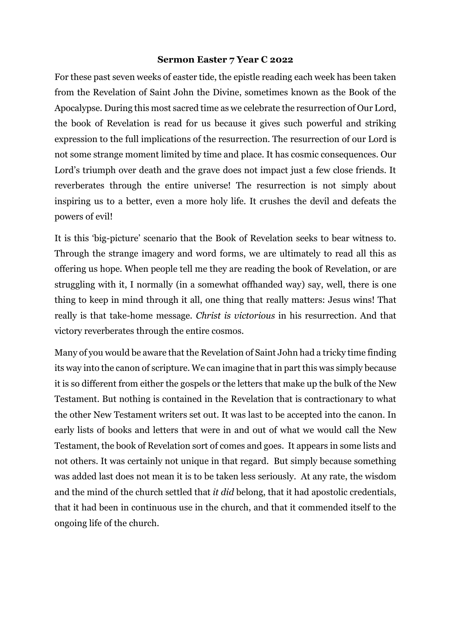## **Sermon Easter 7 Year C 2022**

For these past seven weeks of easter tide, the epistle reading each week has been taken from the Revelation of Saint John the Divine, sometimes known as the Book of the Apocalypse. During this most sacred time as we celebrate the resurrection of Our Lord, the book of Revelation is read for us because it gives such powerful and striking expression to the full implications of the resurrection. The resurrection of our Lord is not some strange moment limited by time and place. It has cosmic consequences. Our Lord's triumph over death and the grave does not impact just a few close friends. It reverberates through the entire universe! The resurrection is not simply about inspiring us to a better, even a more holy life. It crushes the devil and defeats the powers of evil!

It is this 'big-picture' scenario that the Book of Revelation seeks to bear witness to. Through the strange imagery and word forms, we are ultimately to read all this as offering us hope. When people tell me they are reading the book of Revelation, or are struggling with it, I normally (in a somewhat offhanded way) say, well, there is one thing to keep in mind through it all, one thing that really matters: Jesus wins! That really is that take-home message. *Christ is victorious* in his resurrection. And that victory reverberates through the entire cosmos.

Many of you would be aware that the Revelation of Saint John had a tricky time finding its way into the canon of scripture. We can imagine that in part this was simply because it is so different from either the gospels or the letters that make up the bulk of the New Testament. But nothing is contained in the Revelation that is contractionary to what the other New Testament writers set out. It was last to be accepted into the canon. In early lists of books and letters that were in and out of what we would call the New Testament, the book of Revelation sort of comes and goes. It appears in some lists and not others. It was certainly not unique in that regard. But simply because something was added last does not mean it is to be taken less seriously. At any rate, the wisdom and the mind of the church settled that *it did* belong, that it had apostolic credentials, that it had been in continuous use in the church, and that it commended itself to the ongoing life of the church.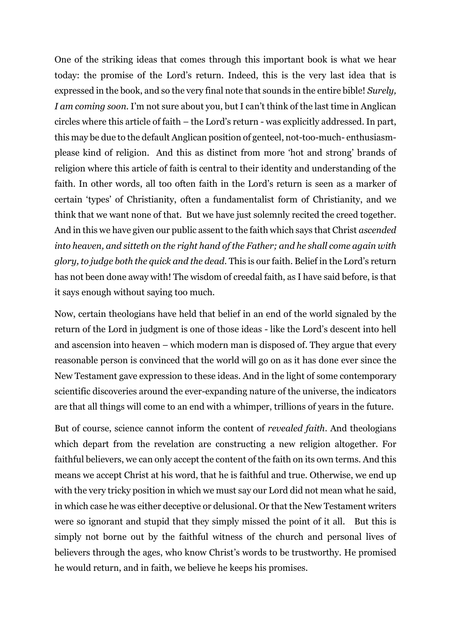One of the striking ideas that comes through this important book is what we hear today: the promise of the Lord's return. Indeed, this is the very last idea that is expressed in the book, and so the very final note that sounds in the entire bible! *Surely, I am coming soon.* I'm not sure about you, but I can't think of the last time in Anglican circles where this article of faith – the Lord's return - was explicitly addressed. In part, this may be due to the default Anglican position of genteel, not-too-much- enthusiasmplease kind of religion. And this as distinct from more 'hot and strong' brands of religion where this article of faith is central to their identity and understanding of the faith. In other words, all too often faith in the Lord's return is seen as a marker of certain 'types' of Christianity, often a fundamentalist form of Christianity, and we think that we want none of that. But we have just solemnly recited the creed together. And in this we have given our public assent to the faith which says that Christ *ascended into heaven, and sitteth on the right hand of the Father; and he shall come again with glory, to judge both the quick and the dead.* This is our faith. Belief in the Lord's return has not been done away with! The wisdom of creedal faith, as I have said before, is that it says enough without saying too much.

Now, certain theologians have held that belief in an end of the world signaled by the return of the Lord in judgment is one of those ideas - like the Lord's descent into hell and ascension into heaven – which modern man is disposed of. They argue that every reasonable person is convinced that the world will go on as it has done ever since the New Testament gave expression to these ideas. And in the light of some contemporary scientific discoveries around the ever-expanding nature of the universe, the indicators are that all things will come to an end with a whimper, trillions of years in the future.

But of course, science cannot inform the content of *revealed faith*. And theologians which depart from the revelation are constructing a new religion altogether. For faithful believers, we can only accept the content of the faith on its own terms. And this means we accept Christ at his word, that he is faithful and true. Otherwise, we end up with the very tricky position in which we must say our Lord did not mean what he said, in which case he was either deceptive or delusional. Or that the New Testament writers were so ignorant and stupid that they simply missed the point of it all. But this is simply not borne out by the faithful witness of the church and personal lives of believers through the ages, who know Christ's words to be trustworthy. He promised he would return, and in faith, we believe he keeps his promises.